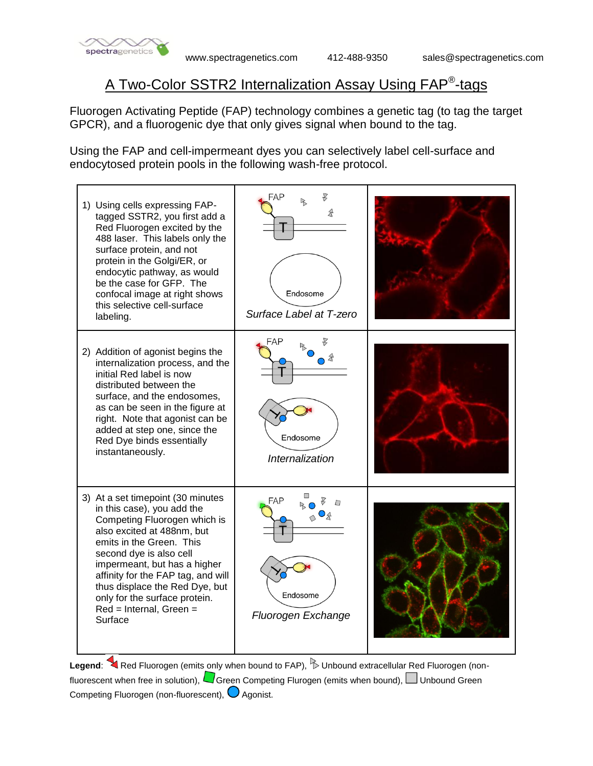

## A Two-Color SSTR2 Internalization Assay Using FAP® -tags

Fluorogen Activating Peptide (FAP) technology combines a genetic tag (to tag the target GPCR), and a fluorogenic dye that only gives signal when bound to the tag.

Using the FAP and cell-impermeant dyes you can selectively label cell-surface and endocytosed protein pools in the following wash-free protocol.



Legend: Red Fluorogen (emits only when bound to FAP), **Dunbound extracellular Red Fluorogen** (nonfluorescent when free in solution),  $\Box$  Green Competing Flurogen (emits when bound),  $\Box$  Unbound Green Competing Fluorogen (non-fluorescent),  $\bigcirc$  Agonist.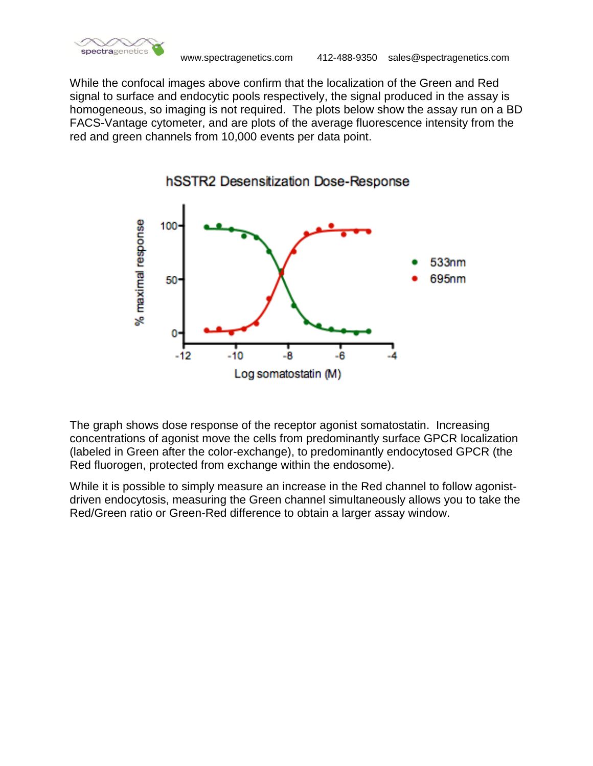

While the confocal images above confirm that the localization of the Green and Red signal to surface and endocytic pools respectively, the signal produced in the assay is homogeneous, so imaging is not required. The plots below show the assay run on a BD FACS-Vantage cytometer, and are plots of the average fluorescence intensity from the red and green channels from 10,000 events per data point.



The graph shows dose response of the receptor agonist somatostatin. Increasing concentrations of agonist move the cells from predominantly surface GPCR localization (labeled in Green after the color-exchange), to predominantly endocytosed GPCR (the Red fluorogen, protected from exchange within the endosome).

While it is possible to simply measure an increase in the Red channel to follow agonistdriven endocytosis, measuring the Green channel simultaneously allows you to take the Red/Green ratio or Green-Red difference to obtain a larger assay window.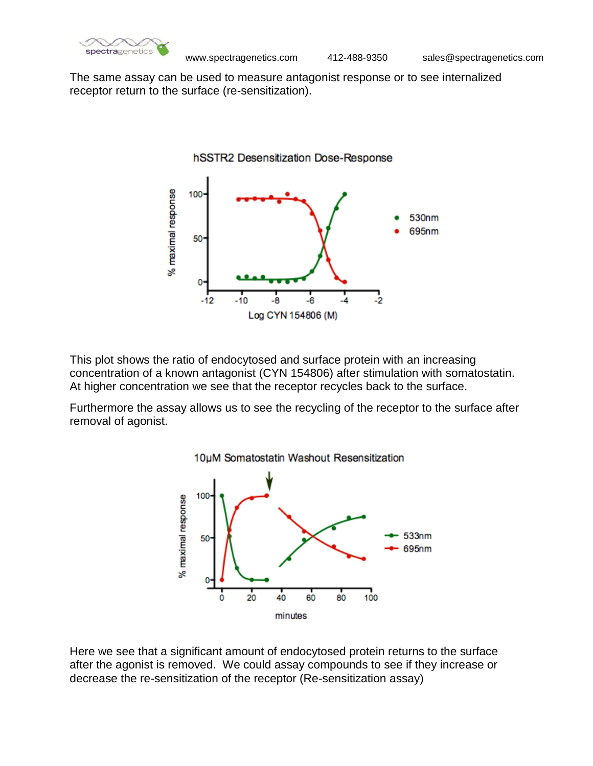

The same assay can be used to measure antagonist response or to see internalized receptor return to the surface (re-sensitization).



This plot shows the ratio of endocytosed and surface protein with an increasing concentration of a known antagonist (CYN 154806) after stimulation with somatostatin. At higher concentration we see that the receptor recycles back to the surface.

Furthermore the assay allows us to see the recycling of the receptor to the surface after removal of agonist.



Here we see that a significant amount of endocytosed protein returns to the surface after the agonist is removed. We could assay compounds to see if they increase or decrease the re-sensitization of the receptor (Re-sensitization assay)